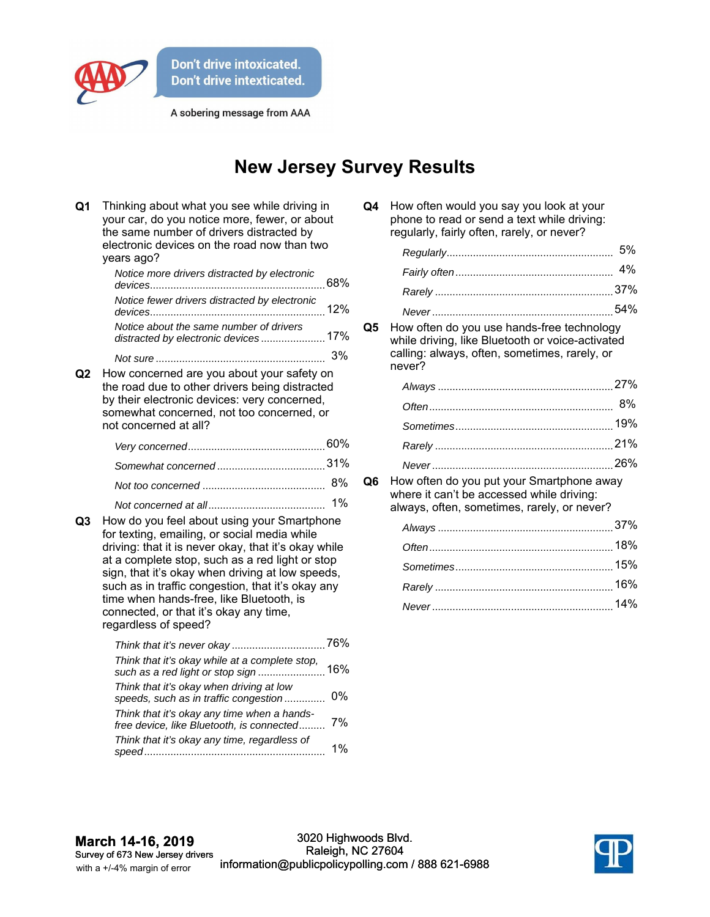

A sobering message from AAA

## **New Jersey Survey Results**

| Q <sub>1</sub> | Thinking about what you see while driving in<br>your car, do you notice more, fewer, or about<br>the same number of drivers distracted by<br>electronic devices on the road now than two<br>years ago?                                                                                                                                                                                                                              |       |
|----------------|-------------------------------------------------------------------------------------------------------------------------------------------------------------------------------------------------------------------------------------------------------------------------------------------------------------------------------------------------------------------------------------------------------------------------------------|-------|
|                | Notice more drivers distracted by electronic                                                                                                                                                                                                                                                                                                                                                                                        | 68%   |
|                | Notice fewer drivers distracted by electronic                                                                                                                                                                                                                                                                                                                                                                                       |       |
|                | Notice about the same number of drivers<br>distracted by electronic devices 17%                                                                                                                                                                                                                                                                                                                                                     |       |
|                |                                                                                                                                                                                                                                                                                                                                                                                                                                     | 3%    |
| Q2             | How concerned are you about your safety on<br>the road due to other drivers being distracted<br>by their electronic devices: very concerned,<br>somewhat concerned, not too concerned, or<br>not concerned at all?                                                                                                                                                                                                                  |       |
|                |                                                                                                                                                                                                                                                                                                                                                                                                                                     |       |
|                |                                                                                                                                                                                                                                                                                                                                                                                                                                     |       |
|                |                                                                                                                                                                                                                                                                                                                                                                                                                                     | 8%    |
| Q3             | 1%<br>How do you feel about using your Smartphone<br>for texting, emailing, or social media while<br>driving: that it is never okay, that it's okay while<br>at a complete stop, such as a red light or stop<br>sign, that it's okay when driving at low speeds,<br>such as in traffic congestion, that it's okay any<br>time when hands-free, like Bluetooth, is<br>connected, or that it's okay any time,<br>regardless of speed? |       |
|                |                                                                                                                                                                                                                                                                                                                                                                                                                                     |       |
|                | Think that it's okay while at a complete stop,                                                                                                                                                                                                                                                                                                                                                                                      |       |
|                | Think that it's okay when driving at low<br>speeds, such as in traffic congestion                                                                                                                                                                                                                                                                                                                                                   | 0%    |
|                | Think that it's okay any time when a hands-<br>free device, like Bluetooth, is connected                                                                                                                                                                                                                                                                                                                                            | 7%    |
|                | Think that it's okay any time, regardless of                                                                                                                                                                                                                                                                                                                                                                                        | $1\%$ |

| Q4 How often would you say you look at your |
|---------------------------------------------|
| phone to read or send a text while driving: |
| regularly, fairly often, rarely, or never?  |

**Q5** How often do you use hands-free technology while driving, like Bluetooth or voice-activated calling: always, often, sometimes, rarely, or never?

**Q6** How often do you put your Smartphone away where it can't be accessed while driving: always, often, sometimes, rarely, or never?